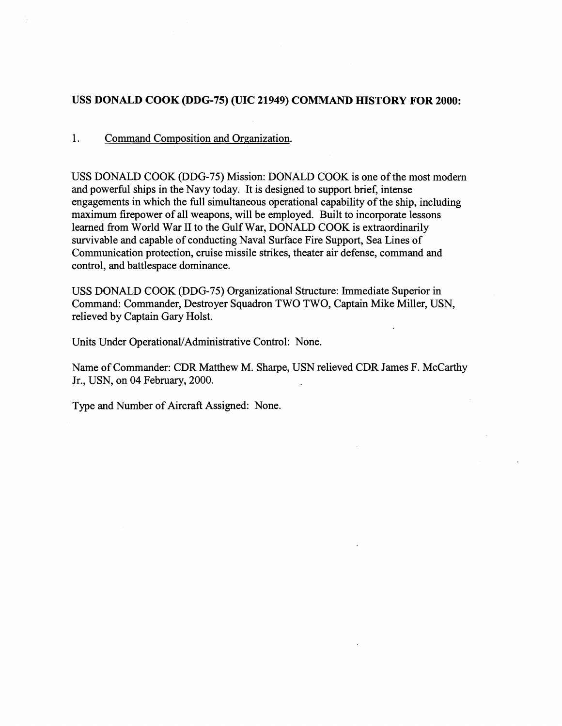# USS DONALD COOK (DDG-75) (UIC 21949) COMMAND HISTORY FOR 2000:

# 1. Command Composition and Organization.

USS DONALD COOK (DDG-75) Mission: DONALD COOK is one of the most modern and powerful ships in the Navy today. It is designed to support brief, intense engagements in which the full simultaneous operational capability of the ship, including maximum firepower of all weapons, will be employed. Built to incorporate lessons learned from World War **I1** to the Gulf War, DONALD COOK is extraordinarily survivable and capable of conducting Naval Surface Fire Support, Sea Lines of Communication protection, cruise missile strikes, theater air defense, command and control, and battlespace dominance.

USS DONALD COOK (DDG-75) Organizational Structure: Immediate Superior in Command: Commander, Destroyer Squadron TWO TWO, Captain Mike Miller, USN, relieved by Captain Gary Holst.

Units Under Operational/Administrative Control: None.

Name of Commander: CDR Matthew M. Sharpe, USN relieved CDR James F. McCartliy Jr., USN, on 04 February, 2000.

Type and Number of Aircraft Assigned: None.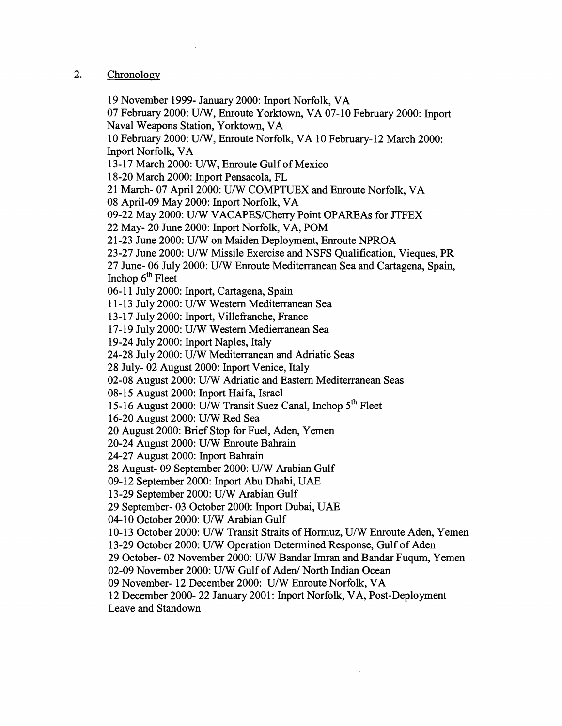# 2. Chronology

19 Noveniber 1999- January 2000: Inport Norfolk, VA 07 February 2000: U/W, Enroute Yorktown, VA 07- 10 February 2000: Inport Naval Weapons Station, Yorktown, VA 10 February 2000: U/W, Enroute Norfolk, VA 10 February-12 March 2000: Inport Norfolk, VA 1 **3** - 17 March 2000: U/W, Enroute Gulf of Mexico 18-20 March 2000: Inport Pensacola, FL 21 March- 07 April 2000: U/W COMPTUEX and Enroute Norfolk, VA 08 April-09 May 2000: Inport Norfolk, VA 09-22 May 2000: U/W VACAPES/Cheny Point OPAREAs for JTFEX 22 May- 20 June 2000: Inport Norfolk, VA, POM 21 -23 June 2000: U/W on Maiden Deployment, Enroute NPROA 23-27 June 2000: U/W Missile Exercise and NSFS Qualification, Vieques, PR 27 June- 06 July 2000: U/W Enroute Mediterranean Sea and Cartagena, Spain, Inchop  $6<sup>th</sup>$  Fleet 06-11 July 2000: Inport, Cartagena, Spain 11-13 July 2000: U/W Western Mediterranean Sea 13-17 July 2000: Inport, Villefranche, France 17-19 July 2000: U/W Western Medierranean Sea 19-24 July 2000: Inport Naples, Italy 24-28 July 2000: U/W Mediterranean and Adriatic Seas 28 July- 02 August 2000: Inport Venice, Italy 02-08 August 2000: U/W Adriatic and Eastern Mediterranean Seas 08-15 August 2000: Inport Haifa, Israel 15-16 August 2000: U/W Transit Suez Canal, Inchop  $5<sup>th</sup>$  Fleet 16-20 August 2000: U/W Red Sea 20 August 2000: Brief Stop for Fuel, Aden, Yemen 20-24 August 2000: U/W Enroute Bahrain 24-27 August 2000: Inport Bahrain 28 August- 09 September 2000: U/W Arabian Gulf 09-12 September 2000: Inport Abu Dhabi, UAE 13-29 September 2000: U/W Arabian Gulf 29 September- 03 October 2000: Inport Dubai, UAE 04-10 October 2000: U/W Arabian Gulf 10- 13 October 2000: U/W Transit Straits of Homuz, U/W Enroute Aden, Yemen 13-29 October 2000: U/W Operation Determined Response, Gulf of Aden 29 October- 02 November 2000: U/W Bandar Imran and Bandar Fuqum, Yemen 02-09 November 2000: U/W Gulf of Aden/ North Indian Ocean 09 November- 12 December 2000: U/W Enroute Norfolk, VA 12 December 2000- 22 January 2001: Inport Norfolk, VA, Post-Deployment Leave and Standown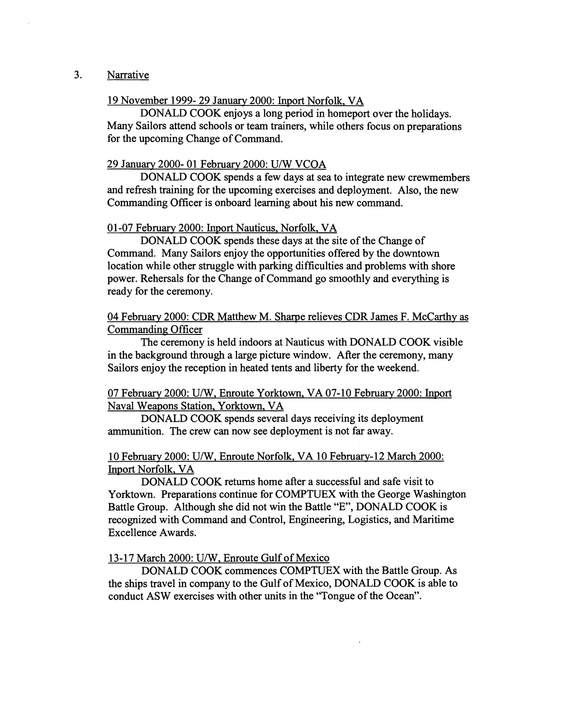# **3.** Narrative

# 19 November 1999- 29 January 2000: Inport Norfolk, VA

DONALD COOK enjoys a long period in homeport over the holidays. Many Sailors attend schools or team trainers, while others focus on preparations for the upcoming Change of Command.

#### 29 January 2000- 01 Februarv 2000: U/W VCOA

DONALD COOK spends a few days at sea to integrate new crewmembers and refresh training for the upcoming exercises and deployment. Also, the new Commanding Officer is onboard learning about his new command.

#### 0 1-07 February 2000: Inport Nauticus, Norfolk, VA

DONALD COOK spends these days at the site of the Change of Command. Many Sailors enjoy the opportunities offered by the downtown location while other struggle with parking difficulties and problems with shore power. Rehersals for the Change of Command go smoothly and everything is ready for the ceremony.

04 February 2000: CDR Matthew M. Sharpe relieves CDR James F. McCarthy as Commanding Officer

The ceremony is held indoors at Nauticus with DONALD COOK visible in the background through a large picture window. ARer the ceremony, many Sailors enjoy the reception in heated tents and liberty for the weekend.

# 07 February 2000: U/W, Enroute Yorktown, VA 07-10 February 2000: hport Naval Weapons Station, Yorktown. VA

DONALD COOK spends several days receiving its deployment munition. The crew can now see deployment is not far away.

# 10 February 2000: U/W, Enroute Norfolk, VA 10 February-12 March 2000: Inport Norfolk. VA

DONALD COOK returns home after a successful and safe visit to Yorktown. Preparations continue for COMPTUEX with the George Washington Battle Group. Although she did not win the Battle "E", DONALD COOK is recognized with Command and Control, Engineering, Logistics, and Maritime Excellence Awards.

### 13-17 March 2000: U/W, Enroute Gulf of Mexico

DONALD COOK commences COMPTUEX with the Battle Group. As the ships travel in company to the Gulf of Mexico, DONALD COOK is able to conduct ASW exercises with other units in the "Tongue of the Ocean".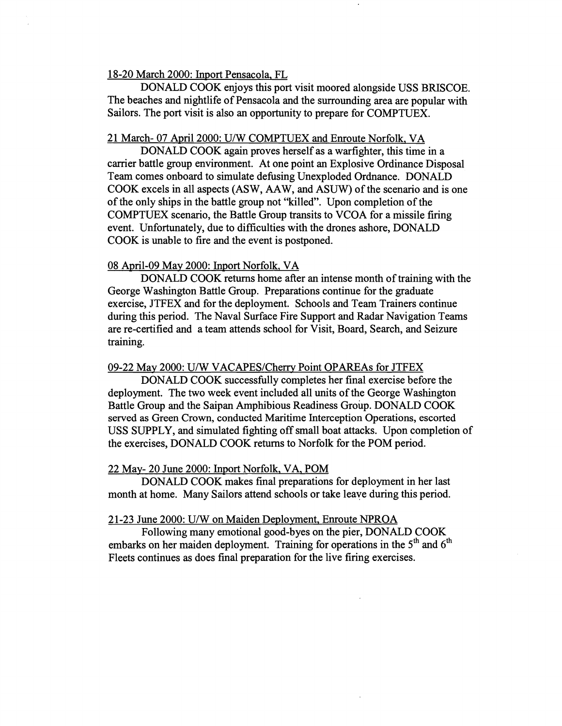## 18-20 March 2000: hport Pensacola. FL

DONALD COOK enjoys this port visit moored alongside USS BRISCOE. The beaches and nightlife of Pensacola and the surrounding area are popular with Sailors. The port visit is also an opportunity to prepare for COMPTUEX.

# 21 March- 07 April 2000: U/W COMPTUEX and Enroute Norfolk, VA

DONALD COOK again proves herself as a warfighter, this time in a carrier battle group environment. At one point an Explosive Ordinance Disposal Team comes onboard to simulate defusing Unexploded Ordnance. DONALD COOK excels in all aspects (ASW, AAW, and ASUW) of the scenario and is one of the only ships in the battle group not "killed". Upon completion of the COMPTUEX scenario, the Battle Group transits to VCOA for a missile firing event. Unfortunately, due to difficulties with the drones ashore, DONALD COOK is unable to fire and the event is postponed.

#### 08 April-09 Mav 2000: Inport Norfolk, VA

DONALD COOK returns home after an intense month of training with the George Washington Battle Group. Preparations continue for the graduate exercise, JTFEX and for the deployment. Schools and Team Trainers continue during this period. The Naval Surface Fire Support and Radar Navigation Teams are re-certified and a team attends school for Visit, Board, Search, and Seizure training.

## 09-22 May 2000: U/W VACAPES/Cherry Point OPAREAs for JTFEX

DONALD COOK successfully completes her final exercise before the deployment. The two week event included all units of the George Washington Battle Group and the Saipan Amphibious Readiness Group. DONALD COOK served as Green Crown, conducted Maritime Interception Operations, escorted USS SUPPLY, and simulated fighting off small boat attacks. Upon completion of the exercises, DONALD COOK returns to Norfolk for the POM period.

## 22 May- 20 June 2000: Inport Norfolk, VA, POM

DONALD COOK makes final preparations for deployment in her last month at home, Many Sailors attend schools or take leave during this period.

## 21-23 June 2000: U/W on Maiden Deployment, Enroute NPROA

Following many emotional good-byes on the pier, DONALD COOK embarks on her maiden deployment. Training for operations in the 5<sup>th</sup> and 6<sup>th</sup> Fleets continues as does final preparation for the live firing exercises.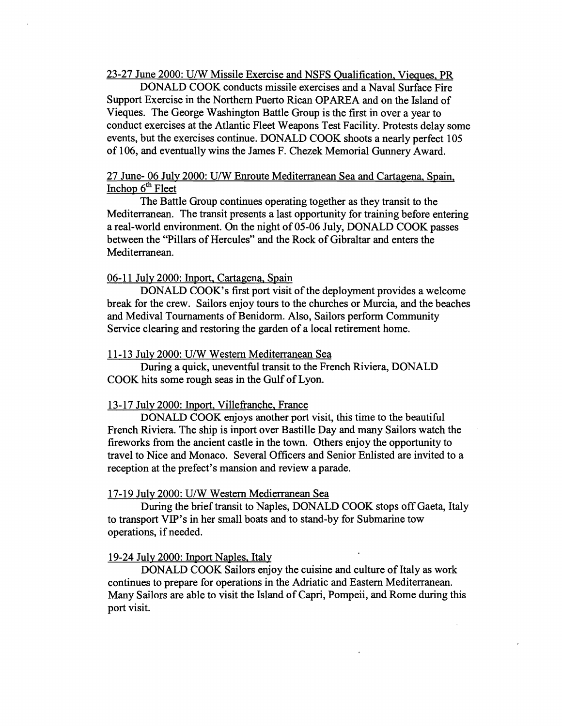23-27 June 2000: U/W Missile Exercise and NSFS Qualification, Vieques. PR

DONALD COOK conducts missile exercises and a Naval Surface Fire Support Exercise in the Northern Puerto Rican OPAREA and on the Island of Vieques. The George Washington Battle Group is the first in over a year to conduct exercises at the Atlantic Fleet Weapons Test Facility. Protests delay some events, but the exercises continue. DONALD COOK shoots a nearly perfect 105 of 106, and eventually wins the James F. Chezek Memorial Gunnery Award.

# 27 June- 06 July 2000: U/W Enroute Mediterranean Sea and Cartagena, Spain, Inchop  $6<sup>th</sup>$  Fleet

The Battle Group continues operating together as they transit to the Mediterranean. The transit presents a last opportunity for training before entering a real-world environment. On the night of 05-06 July, DONALD COOK passes between the "Pillars of Hercules" and the Rock of Gibraltar and enters the Mediterranean.

## 06-11 July 2000: Inport, Cartagena, Spain

DONALD COOK'S first port visit of the deployment provides a welcome break for the crew. Sailors enjoy tours to the churches or Murcia, and the beaches and Medival Tournaments of Benidorm. Also, Sailors perform Community Service clearing and restoring the garden of a local retirement home.

#### 11-13 July 2000: U/W Western Mediterranean Sea

During a quick, uneventful transit to the French Riviera, DONALD COOK hits some rough seas in the Gulf of Lyon.

#### 13-17 July 2000: Inport, Villefranche, France

DONALD COOK enjoys another port visit, this time to the beautiful French Riviera. The ship is inport over Bastille Day and many Sailors watch the fireworks from the ancient castle in the town. Others enjoy the opportunity to travel to Nice and Monaco. Several Officers and Senior Enlisted are invited to a reception at the prefect's mansion and review a parade.

#### 17-19 July 2000: U/W Western Medierranean Sea

During the brief transit to Naples, DONALD COOK stops off Gaeta, Italy to transport VIP's in her small boats and to stand-by for Submarine tow operations, if needed.

#### 19-24 Julv 2000: Inport Naples, Italy

DONALD COOK Sailors enjoy the cuisine and culture of Italy as work continues to prepare for operations in the Adriatic and Eastern Mediterranean. Many Sailors are able to visit the Island of Capri, Pompeii, and Rome during this port visit.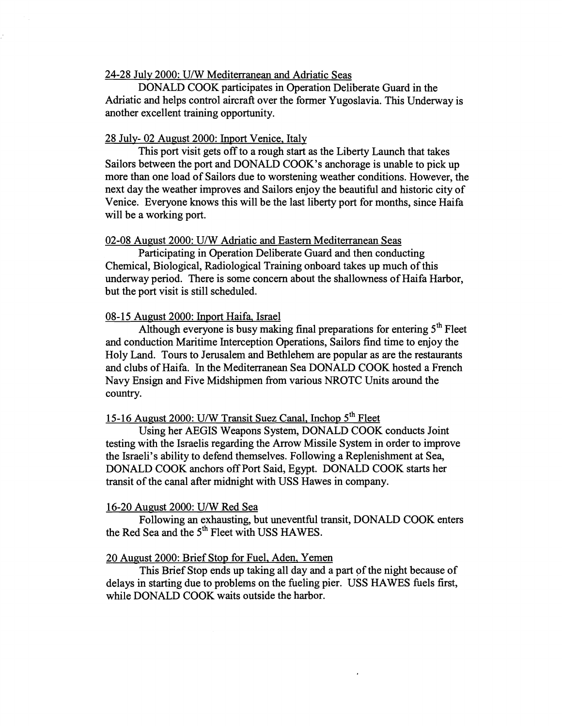## **24-28** Julv **2000:** U/W Mediterranean and Adriatic Seas

DONALD COOK participates in Operation Deliberate Guard in the Adriatic and helps control aircraft over the former Yugoslavia. This Underway is another excellent training opportunity.

## **28** July- **02** August **2000:** Inport Venice, Italy

This port visit gets off to a rough start as the Liberty Launch that takes Sailors between the port and DONALD COOK'S anchorage is unable to pick up more than one load of Sailors due to worstening weather conditions. However, the next day the weather improves and Sailors enjoy the beautiful and historic city of Venice. Everyone knows this will be the last liberty port for months, since Haifa will be a working port.

## **02-08** August **2000:** U/W Adriatic and Eastern Mediterranean Seas

Participating in Operation Deliberate Guard and then conducting Chemical, Biological, Radiological Training onboard takes up much of this underway period. There is some concern about the shallowness of Haifa Harbor, but the port visit is still scheduled.

#### **08-** 15 August **2000:** Inport Haifa, Israel

Although everyone is busy making final preparations for entering **5th** Fleet and conduction Maritime Interception Operations, Sailors find time to enjoy the Holy Land. Tours to Jerusalem and Bethlehem are popular as are the restaurants and clubs of Haifa. In the Mediterranean Sea DONALD COOK hosted a French Navy Ensign and Five Midshipmen from various NROTC Units around the country.

# 15-16 August 2000: U/W Transit Suez Canal, Inchop 5<sup>th</sup> Fleet

Using her AEGIS Weapons System, DONALD COOK conducts Joint testing with the Israelis regarding the Arrow Missile System in order to improve the Israeli's ability to defend themselves. Following a Replenishment at Sea, DONALD COOK anchors off Port Said, Egypt. DONALD COOK starts her transit of the canal after midnight with USS Hawes in company.

#### **16-20** August **2000:** U/W Red Sea

Following an exhausting, but uneventful transit, DONALD COOK enters the Red Sea and the **5th** Fleet with USS HAWES.

# **20** August **2000:** Brief Stop for Fuel. Aden, Yemen

This Brief Stop ends up taking all day and a part of the night because of delays in starting due to problems on the fueling pier. USS HAWES fuels first, while DONALD COOK waits outside the harbor.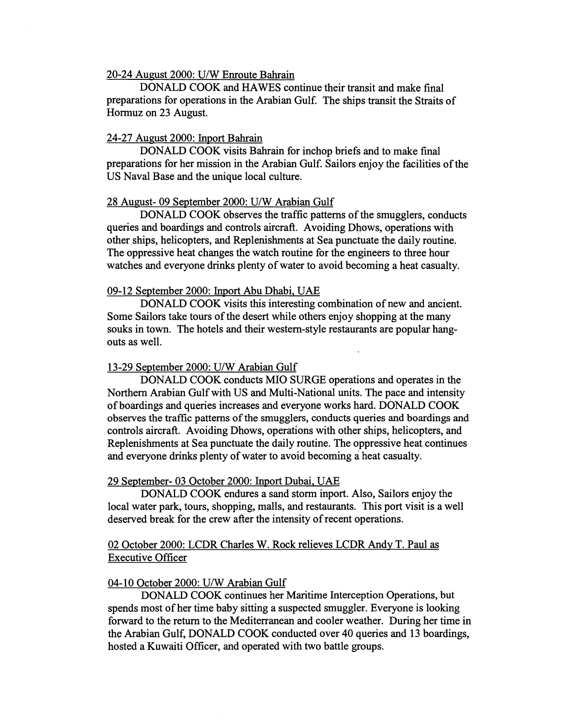## 20-24 August 2000: U/W Enroute Bahrain

DONALD COOK and HAWES continue their transit and make final preparations for operations in the Arabian Gulf. The ships transit the Straits of Hormuz on 23 August.

# 24-27 August 2000: Inport Bahrain

DONALD COOK visits Bahrain for inchop briefs and to make final preparations for her mission in the Arabian Gulf. sailors enjoy the facilities of the US Naval Base and the unique local culture.

#### 28 August- 09 September 2000: U/W Arabian Gulf

DONALD COOK observes the traffic patterns of the smugglers, conducts queries and boardings and controls aircraft. Avoiding Dhows, operations with other ships, helicopters, and Replenishments at Sea punctuate the daily routine. The oppressive heat changes the watch routine for the engineers to three hour watches and everyone drinks plenty of water to avoid becoming a heat casualty.

#### 09-12 September 2000: Inport Abu Dhabi, **UAE**

DONALD COOK visits this interesting combination of new and ancient. Some Sailors take tours of the desert while others enjoy shopping at the many souks in town. The hotels and their westem-style restaurants are popular hangouts as well.

# 13-29 September 2000: U/W Arabian Gulf

DONALD COOK conducts MI0 SURGE operations and operates in the Northern Arabian Gulf with US and Multi-National units. The pace and intensity of boardings and queries increases and everyone works hard. DONALD COOK observes the traffic patterns of the smugglers, conducts queries and boardings and controls aircraft. Avoiding Dhows, operations with other ships, helicopters, and Replenishments at Sea punctuate the daily routine. The oppressive heat continues and everyone drinks plenty of water to avoid becoming a heat casualty.

#### 29 September- 03 October 2000: Inport Dubai, UAE

DONALD COOK endures a sand storm inport. Also, Sailors enjoy the local water park, tours, shopping, malls, and restaurants. This port visit is a well deserved break for the crew after the intensity of recent operations.

# 02 October 2000: LCDR Charles W. Rock relieves LCDR Andy T. Paul as Executive Officer

#### 04-10 October 2000: U/W Arabian Gulf

DONALD COOK continues her Maritime Interception Operations, but spends most of her time baby sitting a suspected smuggler. Everyone is looking forward to the return to the Mediterranean and cooler weather. During her time in the Arabian Gulf, DONALD COOK conducted over 40 queries and 13 boardings, hosted a Kuwaiti Officer, and operated with two battle groups.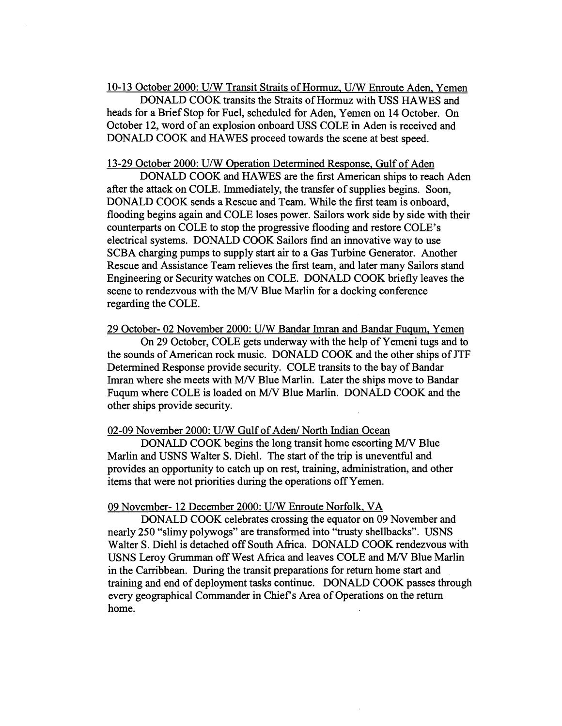10-13 October 2000: U/W Transit Straits of Hormuz, U/W Enroute Aden, Yemen

DONALD COOK transits the Straits of Hormuz with USS HAWES and heads for a Brief Stop for Fuel, scheduled for Aden, Yemen on 14 October. On October 12, word of an explosion onboard USS COLE in Aden is received and DONALD COOK and HAWES proceed towards the scene at best speed.

#### 13-29 October 2000: U/W Operation Determined Response, Gulf of Aden

DONALD COOK and HAWES are the first American ships to reach Aden after the attack on COLE. Immediately, the transfer of supplies begins. Soon, DONALD COOK sends a Rescue and Team. While the first team is onboard, flooding begins again and COLE loses power. Sailors work side by side with their counterparts on COLE to stop the progressive flooding and restore COLE'S electrical systems. DONALD COOK Sailors find an innovative way to use SCBA charging pumps to supply start air to a Gas Turbine Generator. Another Rescue and Assistance Team relieves the first team, and later many Sailors stand Engineering or Security watches on COLE. DONALD COOK briefly leaves the scene to rendezvous with the *MN* Blue Marlin for a docking conference regarding the COLE.

29 October- 02 November 2000: U/W Bandar Imran and Bandar Fuqum, Yemen On 29 October, COLE gets underway with the help of Yemeni tugs and to the sounds of American rock music. DONALD COOK and the other ships of JTF Determined Response provide security. COLE transits to the bay of Bandar Imran where she meets with *MN* Blue Marlin. Later the ships move to Bandar

Fuqum where COLE is loaded on *MN* Blue Marlin. DONALD COOK and the other ships provide security.

### 02-09 November 2000: U/W Gulf of Aden/ North Indian Ocean

DONALD COOK begins the long transit home escorting *MN* Blue Marlin and USNS Walter S. Diehl. The start of the trip is uneventful and provides an opportunity to catch up on rest, training, administration, and other items that were not priorities during the operations off Yemen.

### 09 November- 12 December 2000: U/W Enroute Norfolk, VA

DONALD COOK celebrates crossing the equator on 09 November and nearly 250 "slimy polywogs" are transformed into "trusty shellbacks". USNS Walter S. Diehl is detached off South Afiica. DONALD COOK rendezvous with USNS Leroy Grumman off West Africa and leaves COLE and *MN* Blue Marlin in the Carribbean. During the transit preparations for return home start and training and end of deployment tasks continue. DONALD COOK passes through every geographical Commander in Chief's Area of Operations on the return home.